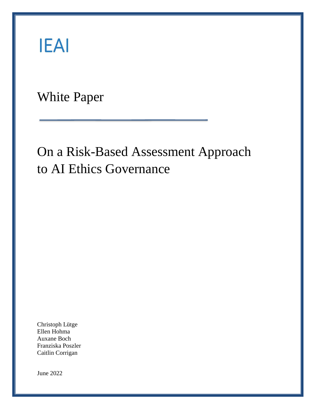# **IEAI**

White Paper

## On a Risk-Based Assessment Approach to AI Ethics Governance

Christoph Lütge Ellen Hohma Auxane Boch Franziska Poszler Caitlin Corrigan

June 2022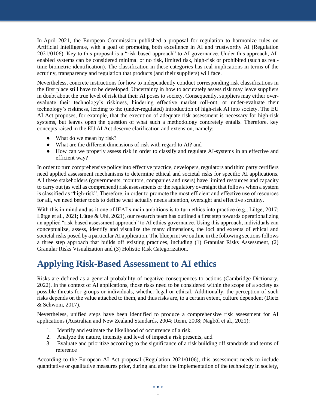In April 2021, the European Commission published a proposal for regulation to harmonize rules on Artificial Intelligence, with a goal of promoting both excellence in AI and trustworthy AI (Regulation 2021/0106). Key to this proposal is a "risk-based approach" to AI governance. Under this approach, AIenabled systems can be considered minimal or no risk, limited risk, high-risk or prohibited (such as realtime biometric identification). The classification in these categories has real implications in terms of the scrutiny, transparency and regulation that products (and their suppliers) will face.

Nevertheless, concrete instructions for how to independently conduct corresponding risk classifications in the first place still have to be developed. Uncertainty in how to accurately assess risk may leave suppliers in doubt about the true level of risk that their AI poses to society. Consequently, suppliers may either overevaluate their technology's riskiness, hindering effective market roll-out, or under-evaluate their technology's riskiness, leading to the (under-regulated) introduction of high-risk AI into society. The EU AI Act proposes, for example, that the execution of adequate risk assessment is necessary for high-risk systems, but leaves open the question of what such a methodology concretely entails. Therefore, key concepts raised in the EU AI Act deserve clarification and extension, namely:

- What do we mean by risk?
- What are the different dimensions of risk with regard to AI? and
- How can we properly assess risk in order to classify and regulate AI-systems in an effective and efficient way?

In order to turn comprehensive policy into effective practice, developers, regulators and third party certifiers need applied assessment mechanisms to determine ethical and societal risks for specific AI applications. All these stakeholders (governments, monitors, companies and users) have limited resources and capacity to carry out (as well as comprehend) risk assessments or the regulatory oversight that follows when a system is classified as "high-risk". Therefore, in order to promote the most efficient and effective use of resources for all, we need better tools to define what actually needs attention, oversight and effective scrutiny.

With this in mind and as it one of IEAI's main ambitions is to turn ethics into practice (e.g., Lütge, 2017; Lütge et al., 2021; Lütge & Uhl, 2021), our research team has outlined a first step towards operationalizing an applied "risk-based assessment approach" to AI ethics governance. Using this approach, individuals can conceptualize, assess, identify and visualize the many dimensions, the loci and extents of ethical and societal risks posed by a particular AI application. The blueprint we outline in the following sections follows a three step approach that builds off existing practices, including (1) Granular Risks Assessment, (2) Granular Risks Visualization and (3) Holistic Risk Categorization.

### **Applying Risk-Based Assessment to AI ethics**

Risks are defined as a general probability of negative consequences to actions (Cambridge Dictionary, 2022). In the context of AI applications, those risks need to be considered within the scope of a society as possible threats for groups or individuals, whether legal or ethical. Additionally, the perception of such risks depends on the value attached to them, and thus risks are, to a certain extent, culture dependent (Dietz & Schwom, 2017).

Nevertheless, unified steps have been identified to produce a comprehensive risk assessment for AI applications (Australian and New Zealand Standards, 2004; Renn, 2008; Nagböl et al., 2021):

- 1. Identify and estimate the likelihood of occurrence of a risk,
- 2. Analyze the nature, intensity and level of impact a risk presents, and
- 3. Evaluate and prioritize according to the significance of a risk building off standards and terms of reference

According to the European AI Act proposal (Regulation 2021/0106), this assessment needs to include quantitative or qualitative measures prior, during and after the implementation of the technology in society,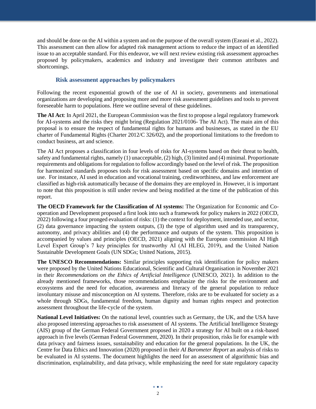and should be done on the AI within a system and on the purpose of the overall system (Ezeani et al., 2022). This assessment can then allow for adapted risk management actions to reduce the impact of an identified issue to an acceptable standard. For this endeavor, we will next review existing risk assessment approaches proposed by policymakers, academics and industry and investigate their common attributes and shortcomings.

### **Risk assessment approaches by policymakers**

Following the recent exponential growth of the use of AI in society, governments and international organizations are developing and proposing more and more risk assessment guidelines and tools to prevent foreseeable harm to populations. Here we outline several of these guidelines.

**The AI Act**: In April 2021, the European Commission was the first to propose a legal regulatory framework for AI-systems and the risks they might bring (Regulation 2021/0106- The AI Act). The main aim of this proposal is to ensure the respect of fundamental rights for humans and businesses, as stated in the EU charter of Fundamental Rights (Charter 2012/C 326/02), and the proportional limitations to the freedom to conduct business, art and science.

The AI Act proposes a classification in four levels of risks for AI-systems based on their threat to health, safety and fundamental rights, namely (1) unacceptable, (2) high, (3) limited and (4) minimal. Proportionate requirements and obligations for regulation to follow accordingly based on the level of risk. The proposition for harmonized standards proposes tools for risk assessment based on specific domains and intention of use. For instance, AI used in education and vocational training, creditworthiness, and law enforcement are classified as high-risk automatically because of the domains they are employed in. However, it is important to note that this proposition is still under review and being modified at the time of the publication of this report.

**The OECD Framework for the Classification of AI systems:** The Organization for Economic and Cooperation and Development proposed a first look into such a framework for policy makers in 2022 (OECD, 2022) following a four pronged evaluation of risks: (1) the context for deployment, intended use, and sector, (2) data governance impacting the system outputs, (3) the type of algorithm used and its transparency, autonomy, and privacy abilities and (4) the performance and outputs of the system. This proposition is accompanied by values and principles (OECD, 2021) aligning with the European commission AI High Level Expert Group's 7 key principles for trustworthy AI (AI HLEG, 2019), and the United Nation Sustainable Development Goals (UN SDGs; United Nations, 2015).

**The UNESCO Recommendations:** Similar principles supporting risk identification for policy makers were proposed by the United Nations Educational, Scientific and Cultural Organisation in November 2021 in their *Recommendations on the Ethics of Artificial Intelligence* (UNESCO, 2021). In addition to the already mentioned frameworks, those recommendations emphasize the risks for the environment and ecosystems and the need for education, awareness and literacy of the general population to reduce involuntary misuse and misconception on AI systems. Therefore, risks are to be evaluated for society as a whole through SDGs, fundamental freedom, human dignity and human rights respect and protection assessment throughout the life-cycle of the system.

**National Level Initiatives:** On the national level, countries such as Germany, the UK, and the USA have also proposed interesting approaches to risk assessment of AI systems. The Artificial Intelligence Strategy (AIS) group of the German Federal Government proposed in 2020 a strategy for AI built on a risk-based approach in five levels (German Federal Government, 2020). In their proposition, risks lie for example with data privacy and fairness issues, sustainability and education for the general populations. In the UK, the Centre for Data Ethics and Innovation (2020) proposed in their *AI Barometer Report* an analysis of risks to be evaluated in AI systems. The document highlights the need for an assessment of algorithmic bias and discrimination, explainability, and data privacy, while emphasizing the need for state regulatory capacity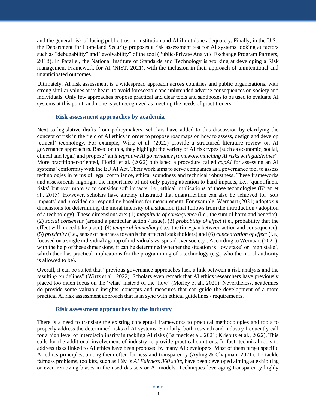and the general risk of losing public trust in institution and AI if not done adequately. Finally, in the U.S., the Department for Homeland Security proposes a risk assessment test for AI systems looking at factors such as "debugability" and "evolvability" of the tool (Public-Private Analytic Exchange Program Partners, 2018). In Parallel, the National Institute of Standards and Technology is working at developing a Risk management Framework for AI (NIST, 2021), with the inclusion in their approach of unintentional and unanticipated outcomes.

Ultimately, AI risk assessment is a widespread approach across countries and public organizations, with strong similar values at its heart, to avoid foreseeable and unintended adverse consequences on society and individuals. Only few approaches propose practical and clear tools and sandboxes to be used to evaluate AI systems at this point, and none is yet recognized as meeting the needs of practitioners.

#### **Risk assessment approaches by academia**

Next to legislative drafts from policymakers, scholars have added to this discussion by clarifying the concept of risk in the field of AI ethics in order to propose roadmaps on how to assess, design and develop 'ethical' technology. For example, Wirtz et al. (2022) provide a structured literature review on AI governance approaches. Based on this, they highlight the variety of AI risk types (such as economic, social, ethical and legal) and propose "an *integrative AI governance framework matching AI risks with guidelines*". More practitioner-oriented, Floridi et al. (2022) published a procedure called *capAI* for assessing an AI systems' conformity with the EU AI Act. Their work aims to serve companies as a governance tool to assess technologies in terms of legal compliance, ethical soundness and technical robustness. These frameworks and assessments highlight the importance of not only paying attention to hard impacts, i.e., 'quantifiable risks' but ever more so to consider soft impacts, i.e., ethical implications of those technologies (Kiran et al., 2015). However, scholars have already illustrated that quantification can also be achieved for 'soft impacts' and provided corresponding baselines for measurement. For example, Wernaart (2021) adopts six dimensions for determining the moral intensity of a situation (that follows from the introduction / adoption of a technology). These dimensions are: (1) *magnitude of consequence* (i.e., the sum of harm and benefits), (2) *social consensus* (around a particular action / issue), (3) *probability of effect* (i.e., probability that the effect will indeed take place), (4) *temporal immediacy* (i.e., the timespan between action and consequence), (5) *proximity* (i.e., sense of nearness towards the affected stakeholders) and (6) *concentration of effect* (i.e., focused on a single individual / group of individuals vs. spread over society). According to Wernaart (2021), with the help of these dimensions, it can be determined whether the situation is 'low stake' or 'high stake', which then has practical implications for the programming of a technology (e.g., who the moral authority is allowed to be).

Overall, it can be stated that "previous governance approaches lack a link between a risk analysis and the resulting guidelines" (Wirtz et al., 2022). Scholars even remark that AI ethics researchers have previously placed too much focus on the 'what' instead of the 'how' (Morley et al., 2021). Nevertheless, academics do provide some valuable insights, concepts and measures that can guide the development of a more practical AI risk assessment approach that is in sync with ethical guidelines / requirements.

#### **Risk assessment approaches by the industry**

There is a need to translate the existing conceptual frameworks to practical methodologies and tools to properly address the determined risks of AI systems. Similarly, both research and industry frequently call for a high level of interdisciplinarity in tackling AI risks (Bartneck et al., 2021; Kriebitz et al., 2022). This calls for the additional involvement of industry to provide practical solutions. In fact, technical tools to address risks linked to AI ethics have been proposed by many AI developers. Most of them target specific AI ethics principles, among them often fairness and transparency (Ayling & Chapman, 2021). To tackle fairness problems, toolkits, such as IBM's *AI Fairness 360 suite*, have been developed aiming at exhibiting or even removing biases in the used datasets or AI models. Techniques leveraging transparency highly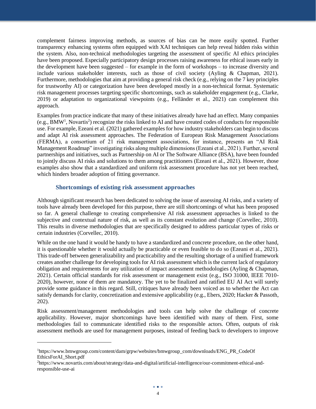complement fairness improving methods, as sources of bias can be more easily spotted. Further transparency enhancing systems often equipped with XAI techniques can help reveal hidden risks within the system. Also, non-technical methodologies targeting the assessment of specific AI ethics principles have been proposed. Especially participatory design processes raising awareness for ethical issues early in the development have been suggested – for example in the form of workshops – to increase diversity and include various stakeholder interests, such as those of civil society (Ayling & Chapman, 2021). Furthermore, methodologies that aim at providing a general risk check (e.g., relying on the 7 key principles for trustworthy AI) or categorization have been developed mostly in a non-technical format. Systematic risk management processes targeting specific shortcomings, such as stakeholder engagement (e.g., Clarke, 2019) or adaptation to organizational viewpoints (e.g., Felländer et al., 2021) can complement this approach.

Examples from practice indicate that many of these initiatives already have had an effect. Many companies (e.g., BMW<sup>1</sup>, Novartis<sup>2</sup>) recognize the risks linked to AI and have created codes of conducts for responsible use. For example, Ezeani et al. (2021) gathered examples for how industry stakeholders can begin to discuss and adapt AI risk assessment approaches. The Federation of European Risk Management Associations (FERMA), a consortium of 21 risk management associations, for instance, presents an "AI Risk Management Roadmap" investigating risks along multiple dimensions (Ezeani et al., 2021). Further, several partnerships and initiatives, such as Partnership on AI or The Software Alliance (BSA), have been founded to jointly discuss AI risks and solutions to them among practitioners (Ezeani et al., 2021). However, those examples also show that a standardized and uniform risk assessment procedure has not yet been reached, which hinders broader adoption of fitting governance.

#### **Shortcomings of existing risk assessment approaches**

Although significant research has been dedicated to solving the issue of assessing AI risks, and a variety of tools have already been developed for this purpose, there are still shortcomings of what has been proposed so far. A general challenge to creating comprehensive AI risk assessment approaches is linked to the subjective and contextual nature of risk, as well as its constant evolution and change (Corvellec, 2010). This results in diverse methodologies that are specifically designed to address particular types of risks or certain industries (Corvellec, 2010).

While on the one hand it would be handy to have a standardized and concrete procedure, on the other hand, it is questionable whether it would actually be practicable or even feasible to do so (Ezeani et al., 2021). This trade-off between generalizability and practicability and the resulting shortage of a unified framework creates another challenge for developing tools for AI risk assessment which is the current lack of regulatory obligation and requirements for any utilization of impact assessment methodologies (Ayling & Chapman, 2021). Certain official standards for risk assessment or management exist (e.g., ISO 31000, IEEE 7010- 2020), however, none of them are mandatory. The yet to be finalized and ratified EU AI Act will surely provide some guidance in this regard. Still, critiques have already been voiced as to whether the Act can satisfy demands for clarity, concretization and extensive applicability (e.g., Ebers, 2020; Hacker & Passoth, 202).

Risk assessment/management methodologies and tools can help solve the challenge of concrete applicability. However, major shortcomings have been identified with many of them. First, some methodologies fail to communicate identified risks to the responsible actors. Often, outputs of risk assessment methods are used for management purposes, instead of feeding back to developers to improve

 $\overline{a}$ 

<sup>&</sup>lt;sup>1</sup>https://www.bmwgroup.com/content/dam/grpw/websites/bmwgroup\_com/downloads/ENG\_PR\_CodeOf EthicsForAI\_Short.pdf

<sup>2</sup>https://www.novartis.com/about/strategy/data-and-digital/artificial-intelligence/our-commitment-ethical-andresponsible-use-ai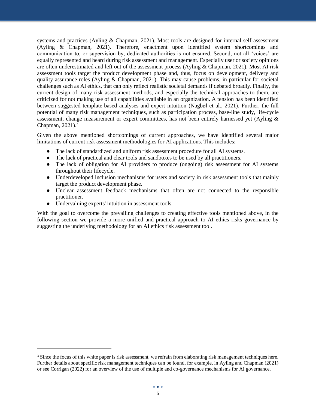systems and practices (Ayling & Chapman, 2021). Most tools are designed for internal self-assessment (Ayling & Chapman, 2021). Therefore, enactment upon identified system shortcomings and communication to, or supervision by, dedicated authorities is not ensured. Second, not all 'voices' are equally represented and heard during risk assessment and management. Especially user or society opinions are often underestimated and left out of the assessment process (Ayling & Chapman, 2021). Most AI risk assessment tools target the product development phase and, thus, focus on development, delivery and quality assurance roles (Ayling & Chapman, 2021). This may cause problems, in particular for societal challenges such as AI ethics, that can only reflect realistic societal demands if debated broadly. Finally, the current design of many risk assessment methods, and especially the technical approaches to them, are criticized for not making use of all capabilities available in an organization. A tension has been identified between suggested template-based analyses and expert intuition (Nagbøl et al., 2021). Further, the full potential of many risk management techniques, such as participation process, base-line study, life-cycle assessment, change measurement or expert committees, has not been entirely harnessed yet (Ayling & Chapman,  $2021$ ).<sup>3</sup>

Given the above mentioned shortcomings of current approaches, we have identified several major limitations of current risk assessment methodologies for AI applications. This includes:

- The lack of standardized and uniform risk assessment procedure for all AI systems.
- The lack of practical and clear tools and sandboxes to be used by all practitioners.
- The lack of obligation for AI providers to produce (ongoing) risk assessment for AI systems throughout their lifecycle.
- Underdeveloped inclusion mechanisms for users and society in risk assessment tools that mainly target the product development phase.
- Unclear assessment feedback mechanisms that often are not connected to the responsible practitioner.
- Undervaluing experts' intuition in assessment tools.

l

With the goal to overcome the prevailing challenges to creating effective tools mentioned above, in the following section we provide a more unified and practical approach to AI ethics risks governance by suggesting the underlying methodology for an AI ethics risk assessment tool.

<sup>&</sup>lt;sup>3</sup> Since the focus of this white paper is risk assessment, we refrain from elaborating risk management techniques here. Further details about specific risk management techniques can be found, for example, in Ayling and Chapman (2021) or see Corrigan (2022) for an overview of the use of multiple and co-governance mechanisms for AI governance.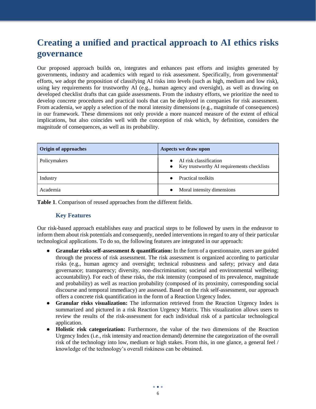### **Creating a unified and practical approach to AI ethics risks governance**

Our proposed approach builds on, integrates and enhances past efforts and insights generated by governments, industry and academics with regard to risk assessment. Specifically, from governmental' efforts, we adopt the proposition of classifying AI risks into levels (such as high, medium and low risk), using key requirements for trustworthy AI (e.g., human agency and oversight), as well as drawing on developed checklist drafts that can guide assessments. From the industry efforts, we prioritize the need to develop concrete procedures and practical tools that can be deployed in companies for risk assessment. From academia, we apply a selection of the moral intensity dimensions (e.g., magnitude of consequences) in our framework. These dimensions not only provide a more nuanced measure of the extent of ethical implications, but also coincides well with the conception of risk which, by definition, considers the magnitude of consequences, as well as its probability.

| <b>Origin of approaches</b> | Aspects we draw upon                                                   |
|-----------------------------|------------------------------------------------------------------------|
| Policymakers                | AI risk classification<br>• Key trustworthy AI requirements checklists |
| Industry                    | Practical toolkits                                                     |
| Academia                    | Moral intensity dimensions<br>$\bullet$                                |

**Table 1**. Comparison of reused approaches from the different fields.

### **Key Features**

Our risk-based approach establishes easy and practical steps to be followed by users in the endeavor to inform them about risk potentials and consequently, needed interventions in regard to any of their particular technological applications. To do so, the following features are integrated in our approach:

- **Granular risks self-assessment & quantification:** In the form of a questionnaire, users are guided through the process of risk assessment. The risk assessment is organized according to particular risks (e.g., human agency and oversight; technical robustness and safety; privacy and data governance; transparency; diversity, non-discrimination; societal and environmental wellbeing; accountability). For each of these risks, the risk intensity (composed of its prevalence, magnitude and probability) as well as reaction probability (composed of its proximity, corresponding social discourse and temporal immediacy) are assessed. Based on the risk self-assessment, our approach offers a concrete risk quantification in the form of a Reaction Urgency Index.
- **Granular risks visualization:** The information retrieved from the Reaction Urgency Index is summarized and pictured in a risk Reaction Urgency Matrix. This visualization allows users to review the results of the risk-assessment for each individual risk of a particular technological application.
- **Holistic risk categorization:** Furthermore, the value of the two dimensions of the Reaction Urgency Index (i.e., risk intensity and reaction demand) determine the categorization of the overall risk of the technology into low, medium or high stakes. From this, in one glance, a general feel / knowledge of the technology's overall riskiness can be obtained.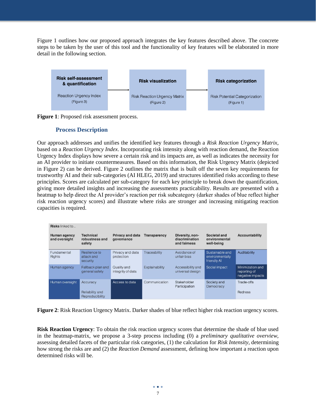Figure 1 outlines how our proposed approach integrates the key features described above. The concrete steps to be taken by the user of this tool and the functionality of key features will be elaborated in more detail in the following section.



**Figure 1**: Proposed risk assessment process.

### **Process Description**

Our approach addresses and unifies the identified key features through a *Risk Reaction Urgency Matrix*, based on a *Reaction Urgency Index*. Incorporating risk intensity along with reaction demand, the Reaction Urgency Index displays how severe a certain risk and its impacts are, as well as indicates the necessity for an AI provider to initiate countermeasures. Based on this information, the Risk Urgency Matrix (depicted in Figure 2) can be derived. Figure 2 outlines the matrix that is built off the seven key requirements for trustworthy AI and their sub-categories (AI HLEG, 2019) and structures identified risks according to these principles. Scores are calculated per sub-category for each key principle to break down the quantification, giving more detailed insights and increasing the assessments practicability. Results are presented with a heatmap to help direct the AI provider's reaction per risk subcategory (darker shades of blue reflect higher risk reaction urgency scores) and illustrate where risks are stronger and increasing mitigating reaction capacities is required.

| <b>Risks</b> linked to               |                                                |                                       |                     |                                                   |                                                   |                                                      |
|--------------------------------------|------------------------------------------------|---------------------------------------|---------------------|---------------------------------------------------|---------------------------------------------------|------------------------------------------------------|
| <b>Human agency</b><br>and oversight | <b>Technical</b><br>robustness and<br>safety   | <b>Privacy and data</b><br>governance | <b>Transparency</b> | Diversity, non-<br>discrimination<br>and fairness | Societal and<br>environmental<br>well-being       | <b>Accountability</b>                                |
| Fundamental<br><b>Rights</b>         | Resilience to<br>attack and<br>security        | Privacy and data<br>protection        | Traceability        | Avoidance of<br>unfair bias                       | Sustainable and<br>environmentally<br>friendly Al | Auditability                                         |
| Human agency                         | Fallback plan and<br>general safety            | Quality and<br>integrity of data      | Explainability      | Accessibility and<br>universal design             | Social impact                                     | Minimization and<br>reporting of<br>negative impacts |
| Human oversight                      | Accuracy<br>Reliability and<br>Reproducibility | Access to data                        | Communication       | Stakeholder<br>Participation                      | Society and<br>Democracy                          | Trade-offs<br><b>Redress</b>                         |

**Figure 2**: Risk Reaction Urgency Matrix. Darker shades of blue reflect higher risk reaction urgency scores.

**Risk Reaction Urgency**: To obtain the risk reaction urgency scores that determine the shade of blue used in the heatmap-matrix, we propose a 3-step process including (0) a *preliminary qualitative overview,*  assessing detailed facets of the particular risk categories, (1) the calculation for *Risk Intensity,* determining how strong the risks are and (2) the *Reaction Demand* assessment, defining how important a reaction upon determined risks will be.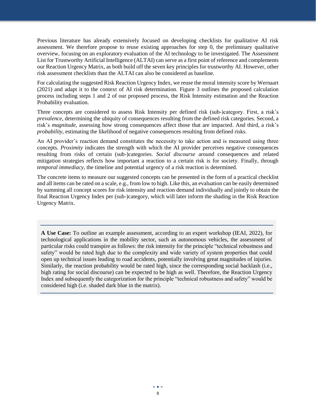Previous literature has already extensively focused on developing checklists for qualitative AI risk assessment. We therefore propose to reuse existing approaches for step 0, the preliminary qualitative overview, focusing on an exploratory evaluation of the AI technology to be investigated. The Assessment List for Trustworthy Artificial Intelligence (ALTAI) can serve as a first point of reference and complements our Reaction Urgency Matrix, as both build off the seven key principles for trustworthy AI. However, other risk assessment checklists than the ALTAI can also be considered as baseline.

For calculating the suggested Risk Reaction Urgency Index, we reuse the moral intensity score by Wernaart (2021) and adapt it to the context of AI risk determination. Figure 3 outlines the proposed calculation process including steps 1 and 2 of our proposed process, the Risk Intensity estimation and the Reaction Probability evaluation.

Three concepts are considered to assess Risk Intensity per defined risk (sub-)category. First, a risk's *prevalence*, determining the ubiquity of consequences resulting from the defined risk categories. Second, a risk's *magnitude,* assessing how strong consequences affect those that are impacted. And third, a risk's *probability,* estimating the likelihood of negative consequences resulting from defined risks.

An AI provider's reaction demand constitutes the necessity to take action and is measured using three concepts. *Proximity* indicates the strength with which the AI provider perceives negative consequences resulting from risks of certain (sub-)categories. *Social discourse* around consequences and related mitigation strategies reflects how important a reaction to a certain risk is for society. Finally, through *temporal immediacy*, the timeline and potential urgency of a risk reaction is determined.

The concrete items to measure our suggested concepts can be presented in the form of a practical checklist and all items can be rated on a scale, e.g., from low to high. Like this, an evaluation can be easily determined by summing all concept scores for risk intensity and reaction demand individually and jointly to obtain the final Reaction Urgency Index per (sub-)category, which will later inform the shading in the Risk Reaction Urgency Matrix.

**A Use Case:** To outline an example assessment, according to an expert workshop (IEAI, 2022), for technological applications in the mobility sector, such as autonomous vehicles, the assessment of particular risks could transpire as follows: the risk intensity for the principle "technical robustness and safety" would be rated high due to the complexity and wide variety of system properties that could open up technical issues leading to road accidents, potentially involving great magnitudes of injuries. Similarly, the reaction probability would be rated high, since the corresponding social backlash (i.e., high rating for social discourse) can be expected to be high as well. Therefore, the Reaction Urgency Index and subsequently the categorization for the principle "technical robustness and safety" would be considered high (i.e. shaded dark blue in the matrix).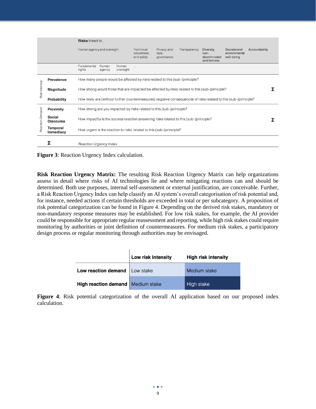|                 |                                   | <b>Risks</b> linked to                                                                                           |                                       |                                   |              |                                                      |                                             |                |  |
|-----------------|-----------------------------------|------------------------------------------------------------------------------------------------------------------|---------------------------------------|-----------------------------------|--------------|------------------------------------------------------|---------------------------------------------|----------------|--|
|                 |                                   | Human agency and oversight                                                                                       | Technical<br>robustness<br>and safety | Privacy and<br>data<br>governance | Transparency | Diversity,<br>non-<br>discrimination<br>and fairness | Societal and<br>environmental<br>well-being | Accountability |  |
|                 |                                   | Fundamental<br>Human<br>Human<br>oversight<br>rights<br>agency                                                   | $\cdots$                              |                                   |              |                                                      |                                             |                |  |
|                 | <b>Prevalence</b>                 | How many people would be affected by risks related to this (sub-)principle?                                      |                                       |                                   |              |                                                      |                                             |                |  |
| Risk Intensity  | <b>Magnitude</b>                  | How strong would those that are impacted be affected by risks related to this (sub-)principle?                   |                                       |                                   |              |                                                      |                                             |                |  |
|                 | Probability                       | How likely are (without further countermeasures) negative consequences of risks related to this (sub-)principle? |                                       |                                   |              |                                                      |                                             |                |  |
|                 | Proximity                         | How strong are you impacted by risks related to this (sub-)principle?                                            |                                       |                                   |              |                                                      |                                             |                |  |
| Reaction Demand | <b>Social</b><br><b>Discourse</b> | How impactful is the societal reaction answering risks related to this (sub-)principle?                          |                                       |                                   |              |                                                      |                                             |                |  |
|                 | Temporal<br>Immediacy             | How urgent is the reaction to risks related to this (sub-)principle?                                             |                                       |                                   |              |                                                      |                                             |                |  |
|                 |                                   | <b>Reaction Urgency Index</b>                                                                                    |                                       |                                   |              |                                                      |                                             |                |  |

**Figure 3**: Reaction Urgency Index calculation.

**Risk Reaction Urgency Matrix:** The resulting Risk Reaction Urgency Matrix can help organizations assess in detail where risks of AI technologies lie and where mitigating reactions can and should be determined. Both use purposes, internal self-assessment or external justification, are conceivable. Further, a Risk Reaction Urgency Index can help classify an AI system's overall categorisation of risk potential and, for instance, needed actions if certain thresholds are exceeded in total or per subcategory. A proposition of risk potential categorization can be found in Figure 4. Depending on the derived risk stakes, mandatory or non-mandatory response measures may be established. For low risk stakes, for example, the AI provider could be responsible for appropriate regular reassessment and reporting, while high risk stakes could require monitoring by authorities or joint definition of countermeasures. For medium risk stakes, a participatory design process or regular monitoring through authorities may be envisaged.

|                                     | Low risk intensity | <b>High risk intensity</b> |
|-------------------------------------|--------------------|----------------------------|
| Low reaction demand Low stake       |                    | Medium stake               |
| High reaction demand   Medium stake |                    | High stake                 |

**Figure 4**: Risk potential categorization of the overall AI application based on our proposed index calculation.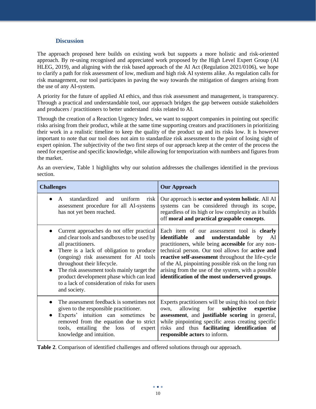#### **Discussion**

The approach proposed here builds on existing work but supports a more holistic and risk-oriented approach. By re-using recognised and appreciated work proposed by the High Level Expert Group (AI HLEG, 2019), and aligning with the risk based approach of the AI Act (Regulation 2021/0106), we hope to clarify a path for risk assessment of low, medium and high risk AI systems alike. As regulation calls for risk management, our tool participates in paving the way towards the mitigation of dangers arising from the use of any AI-system.

A priority for the future of applied AI ethics, and thus risk assessment and management, is transparency. Through a practical and understandable tool, our approach bridges the gap between outside stakeholders and producers / practitioners to better understand risks related to AI.

Through the creation of a Reaction Urgency Index, we want to support companies in pointing out specific risks arising from their product, while at the same time supporting creators and practitioners in prioritizing their work in a realistic timeline to keep the quality of the product up and its risks low. It is however important to note that our tool does not aim to standardize risk assessment to the point of losing sight of expert opinion. The subjectivity of the two first steps of our approach keep at the center of the process the need for expertise and specific knowledge, while allowing for temporization with numbers and figures from the market.

As an overview, Table 1 highlights why our solution addresses the challenges identified in the previous section.

| <b>Challenges</b>                                                                                                                                                                                                                                                                                                                                                                                                         | <b>Our Approach</b>                                                                                                                                                                                                                                                                                                                                                                                                                      |  |  |
|---------------------------------------------------------------------------------------------------------------------------------------------------------------------------------------------------------------------------------------------------------------------------------------------------------------------------------------------------------------------------------------------------------------------------|------------------------------------------------------------------------------------------------------------------------------------------------------------------------------------------------------------------------------------------------------------------------------------------------------------------------------------------------------------------------------------------------------------------------------------------|--|--|
| standardized and<br>uniform<br>risk<br>A<br>assessment procedure for all AI-systems<br>has not yet been reached.                                                                                                                                                                                                                                                                                                          | Our approach is sector and system holistic. All AI<br>systems can be considered through its scope,<br>regardless of its high or low complexity as it builds<br>off moral and practical graspable concepts.                                                                                                                                                                                                                               |  |  |
| Current approaches do not offer practical<br>and clear tools and sandboxes to be used by<br>all practitioners.<br>There is a lack of obligation to produce<br>$\bullet$<br>(ongoing) risk assessment for AI tools<br>throughout their lifecycle.<br>The risk assessment tools mainly target the<br>$\bullet$<br>product development phase which can lead<br>to a lack of consideration of risks for users<br>and society. | Each item of our assessment tool is <b>clearly</b><br>identifiable<br>and<br>understandable<br>by<br>AI<br>practitioners, while being accessible for any non-<br>technical person. Our tool allows for active and<br>reactive self-assessment throughout the life-cycle<br>of the AI, pinpointing possible risk on the long run<br>arising from the use of the system, with a possible<br>identification of the most underserved groups. |  |  |
| The assessment feedback is sometimes not<br>given to the responsible practitioner.<br>Experts' intuition can sometimes be<br>removed from the equation due to strict<br>tools, entailing the loss<br>of<br>expert<br>knowledge and intuition.                                                                                                                                                                             | Experts practitioners will be using this tool on their<br>subjective<br>allowing for<br>expertise<br>own.<br>assessment, and justifiable scoring in general,<br>while pinpointing specific areas creating specific<br>risks and thus facilitating identification of<br>responsible actors to inform.                                                                                                                                     |  |  |

**Table 2**. Comparison of identified challenges and offered solutions through our approach.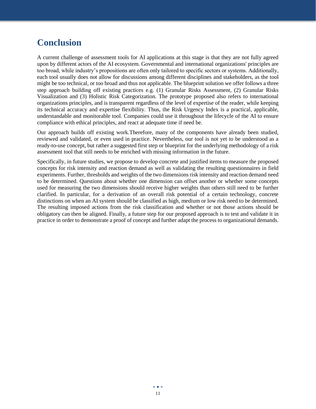### **Conclusion**

A current challenge of assessment tools for AI applications at this stage is that they are not fully agreed upon by different actors of the AI ecosystem. Governmental and international organizations' principles are too broad, while industry's propositions are often only tailored to specific sectors or systems. Additionally, each tool usually does not allow for discussions among different disciplines and stakeholders, as the tool might be too technical, or too broad and thus not applicable. The blueprint solution we offer follows a three step approach building off existing practices e.g. (1) Granular Risks Assessment, (2) Granular Risks Visualization and (3) Holistic Risk Categorization. The prototype proposed also refers to international organizations principles, and is transparent regardless of the level of expertise of the reader, while keeping its technical accuracy and expertise flexibility. Thus, the Risk Urgency Index is a practical, applicable, understandable and monitorable tool. Companies could use it throughout the lifecycle of the AI to ensure compliance with ethical principles, and react at adequate time if need be.

Our approach builds off existing work.Therefore, many of the components have already been studied, reviewed and validated, or even used in practice. Nevertheless, our tool is not yet to be understood as a ready-to-use concept, but rather a suggested first step or blueprint for the underlying methodology of a risk assessment tool that still needs to be enriched with missing information in the future.

Specifically, in future studies, we propose to develop concrete and justified items to measure the proposed concepts for risk intensity and reaction demand as well as validating the resulting questionnaires in field experiments. Further, thresholds and weights of the two dimensions risk intensity and reaction demand need to be determined. Questions about whether one dimension can offset another or whether some concepts used for measuring the two dimensions should receive higher weights than others still need to be further clarified. In particular, for a derivation of an overall risk potential of a certain technology, concrete distinctions on when an AI system should be classified as high, medium or low risk need to be determined. The resulting imposed actions from the risk classification and whether or not those actions should be obligatory can then be aligned. Finally, a future step for our proposed approach is to test and validate it in practice in order to demonstrate a proof of concept and further adapt the process to organizational demands.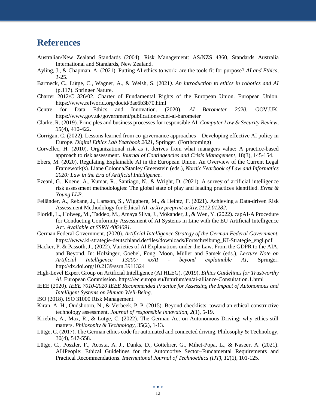### **References**

- Australian/New Zealand Standards (2004), Risk Management: AS/NZS 4360, Standards Australia International and Standards, New Zealand.
- Ayling, J., & Chapman, A. (2021). Putting AI ethics to work: are the tools fit for purpose? *AI and Ethics, 1*-25.
- Bartneck, C., Lütge, C., Wagner, A., & Welsh, S. (2021*). An introduction to ethics in robotics and AI*  (p.117). Springer Nature.
- Charter 2012/C 326/02. Charter of Fundamental Rights of the European Union. European Union[.](https://www.refworld.org/docid/3ae6b3b70.html) <https://www.refworld.org/docid/3ae6b3b70.html>
- Centre for Data Ethics and Innovation. (2020). *AI Barometer 2020*. GOV.UK. https://www.gov.uk/government/publications/cdei-ai-barometer
- Clarke, R. (2019). Principles and business processes for responsible AI. *Computer Law & Security Review, 35*(4), 410-422.
- Corrigan, C. (2022). Lessons learned from co-governance approaches Developing effective AI policy in Europe. *Digital Ethics Lab Yearbook 2021*, Springer. (Forthcoming)
- Corvellec, H. (2010). Organizational risk as it derives from what managers value: A practice‐based approach to risk assessment. *Journal of Contingencies and Crisis Management*, 18(3), 145-154.
- Ebers, M. (2020). Regulating Explainable AI in the European Union. An Overview of the Current Legal Framework(s). Liane Colonna/Stanley Greenstein (eds.), *Nordic Yearbook of Law and Informatics 2020: Law in the Era of Artificial Intelligence*.
- Ezeani, G., Koene, A., Kumar, R., Santiago, N., & Wright, D. (2021). A survey of artificial intelligence risk assessment methodologies: The global state of play and leading practices identified. *Ernst & Young LLP*.
- Felländer, A., Rebane, J., Larsson, S., Wiggberg, M., & Heintz, F. (2021). Achieving a Data-driven Risk Assessment Methodology for Ethical AI. *arXiv preprint arXiv:2112.01282*.
- Floridi, L., Holweg, M., Taddeo, M., Amaya Silva, J., Mökander, J., & Wen, Y. (2022). capAI-A Procedure for Conducting Conformity Assessment of AI Systems in Line with the EU Artificial Intelligence Act*. Available at SSRN 4064091*.
- German Federal Government. (2020). *Artificial Intelligence Strategy of the German Federal Government[.](about:blank)* https://www.ki-strategie-deutschland.de/files/downloads/Fortschreibung\_KI-Strategie\_engl.pdf
- Hacker, P. & Passoth, J., (2022). Varieties of AI Explanations under the Law. From the GDPR to the AIA, and Beyond. In: Holzinger, Goebel, Fong, Moon, Müller and Samek (eds.), *Lecture Note on Artificial Intelligence 13200: xxAI - beyond explainable AI*, Springer. http://dx.doi.org/10.2139/ssrn.3911324
- High-Level Expert Group on Artificial Intelligence (AI HLEG). (2019). *Ethics Guidelines for Trustworthy AI*. European Commission[.](https://ec.europa.eu/futurium/en/ai-alliance-) [https://ec.europa.eu/futurium/en/ai-alliance-C](https://ec.europa.eu/futurium/en/ai-alliance-)onsultation.1.html
- IEEE (2020). *IEEE 7010-2020 IEEE Recommended Practice for Assessing the Impact of Autonomous and Intelligent Systems on Human Well-Being*.

ISO (2018). ISO 31000 Risk Management.

- Kiran, A. H., Oudshoorn, N., & Verbeek, P. P. (2015). Beyond checklists: toward an ethical-constructive technology assessment. *Journal of responsible innovation*, *2*(1), 5-19.
- Kriebitz, A., Max, R., & Lütge, C. (2022). The German Act on Autonomous Driving: why ethics still matters. *Philosophy & Technology*, 35(2), 1-13.
- Lütge, C. (2017). The German ethics code for automated and connected driving. Philosophy & Technology, 30(4), 547-558.
- Lütge, C., Poszler, F., Acosta, A. J., Danks, D., Gottehrer, G., Mihet-Popa, L., & Naseer, A. (2021). AI4People: Ethical Guidelines for the Automotive Sector–Fundamental Requirements and Practical Recommendations. *International Journal of Technoethics (IJT)*, *12*(1), 101-125.